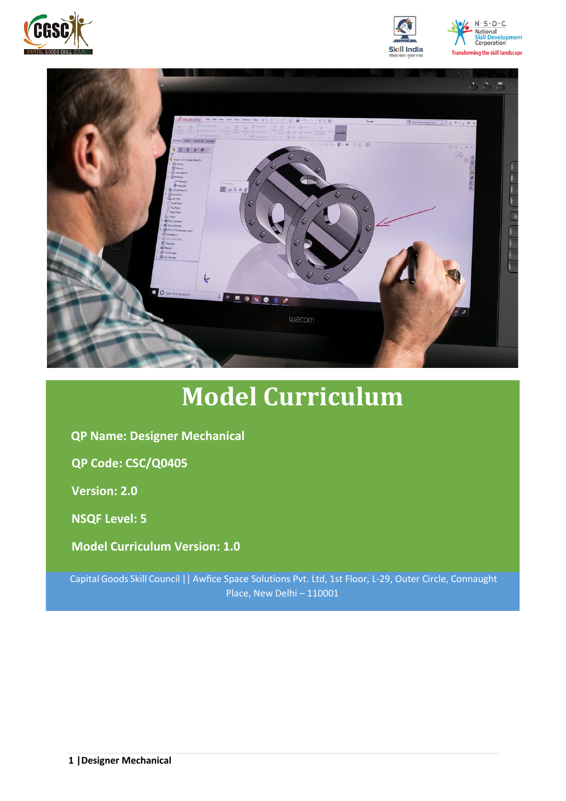





# **Model Curriculum**

**QP Name: Designer Mechanical**

**QP Code: CSC/Q0405**

**Version: 2.0**

**NSQF Level: 5**

**Model Curriculum Version: 1.0**

Capital Goods Skill Council || Awfice Space Solutions Pvt. Ltd, 1st Floor, L-29, Outer Circle, Connaught Place, New Delhi – 110001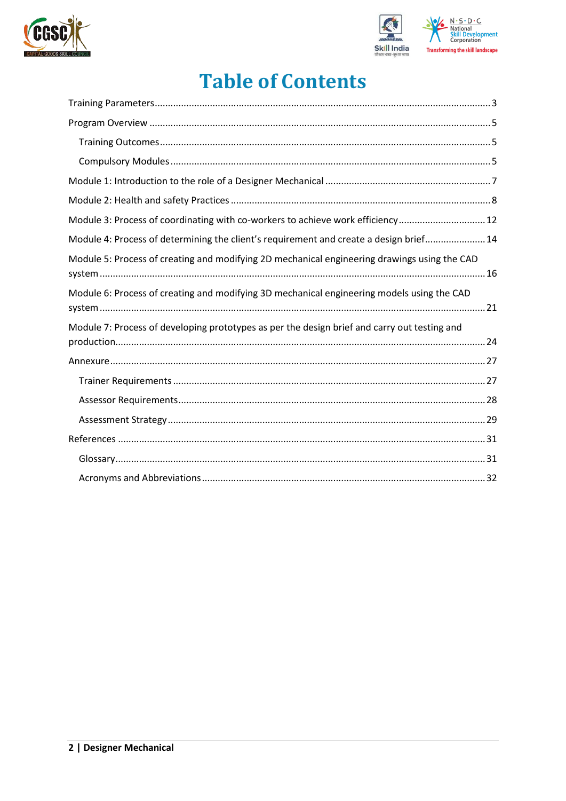



## **Table of Contents**

| Module 3: Process of coordinating with co-workers to achieve work efficiency 12              |
|----------------------------------------------------------------------------------------------|
| Module 4: Process of determining the client's requirement and create a design brief 14       |
| Module 5: Process of creating and modifying 2D mechanical engineering drawings using the CAD |
| Module 6: Process of creating and modifying 3D mechanical engineering models using the CAD   |
| Module 7: Process of developing prototypes as per the design brief and carry out testing and |
|                                                                                              |
|                                                                                              |
|                                                                                              |
|                                                                                              |
|                                                                                              |
|                                                                                              |
|                                                                                              |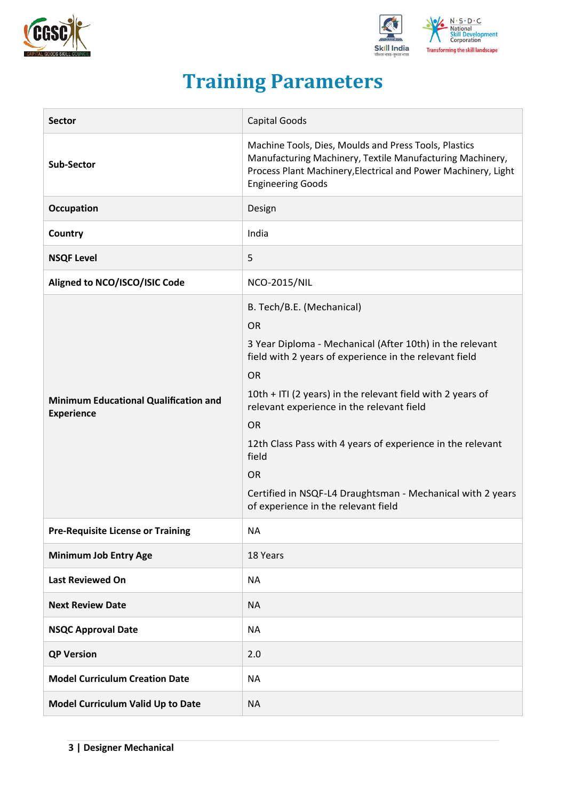



## **Training Parameters**

<span id="page-2-0"></span>

| <b>Sector</b>                                                     | Capital Goods                                                                                                                                                                                                                                                                                                                                                                                                                                                                              |
|-------------------------------------------------------------------|--------------------------------------------------------------------------------------------------------------------------------------------------------------------------------------------------------------------------------------------------------------------------------------------------------------------------------------------------------------------------------------------------------------------------------------------------------------------------------------------|
| <b>Sub-Sector</b>                                                 | Machine Tools, Dies, Moulds and Press Tools, Plastics<br>Manufacturing Machinery, Textile Manufacturing Machinery,<br>Process Plant Machinery, Electrical and Power Machinery, Light<br><b>Engineering Goods</b>                                                                                                                                                                                                                                                                           |
| <b>Occupation</b>                                                 | Design                                                                                                                                                                                                                                                                                                                                                                                                                                                                                     |
| Country                                                           | India                                                                                                                                                                                                                                                                                                                                                                                                                                                                                      |
| <b>NSQF Level</b>                                                 | 5                                                                                                                                                                                                                                                                                                                                                                                                                                                                                          |
| Aligned to NCO/ISCO/ISIC Code                                     | <b>NCO-2015/NIL</b>                                                                                                                                                                                                                                                                                                                                                                                                                                                                        |
| <b>Minimum Educational Qualification and</b><br><b>Experience</b> | B. Tech/B.E. (Mechanical)<br><b>OR</b><br>3 Year Diploma - Mechanical (After 10th) in the relevant<br>field with 2 years of experience in the relevant field<br><b>OR</b><br>10th + ITI (2 years) in the relevant field with 2 years of<br>relevant experience in the relevant field<br><b>OR</b><br>12th Class Pass with 4 years of experience in the relevant<br>field<br><b>OR</b><br>Certified in NSQF-L4 Draughtsman - Mechanical with 2 years<br>of experience in the relevant field |
| <b>Pre-Requisite License or Training</b>                          | <b>NA</b>                                                                                                                                                                                                                                                                                                                                                                                                                                                                                  |
| <b>Minimum Job Entry Age</b>                                      | 18 Years                                                                                                                                                                                                                                                                                                                                                                                                                                                                                   |
| <b>Last Reviewed On</b>                                           | <b>NA</b>                                                                                                                                                                                                                                                                                                                                                                                                                                                                                  |
| <b>Next Review Date</b>                                           | <b>NA</b>                                                                                                                                                                                                                                                                                                                                                                                                                                                                                  |
| <b>NSQC Approval Date</b>                                         | <b>NA</b>                                                                                                                                                                                                                                                                                                                                                                                                                                                                                  |
| <b>QP Version</b>                                                 | 2.0                                                                                                                                                                                                                                                                                                                                                                                                                                                                                        |
| <b>Model Curriculum Creation Date</b>                             | <b>NA</b>                                                                                                                                                                                                                                                                                                                                                                                                                                                                                  |
| Model Curriculum Valid Up to Date                                 | <b>NA</b>                                                                                                                                                                                                                                                                                                                                                                                                                                                                                  |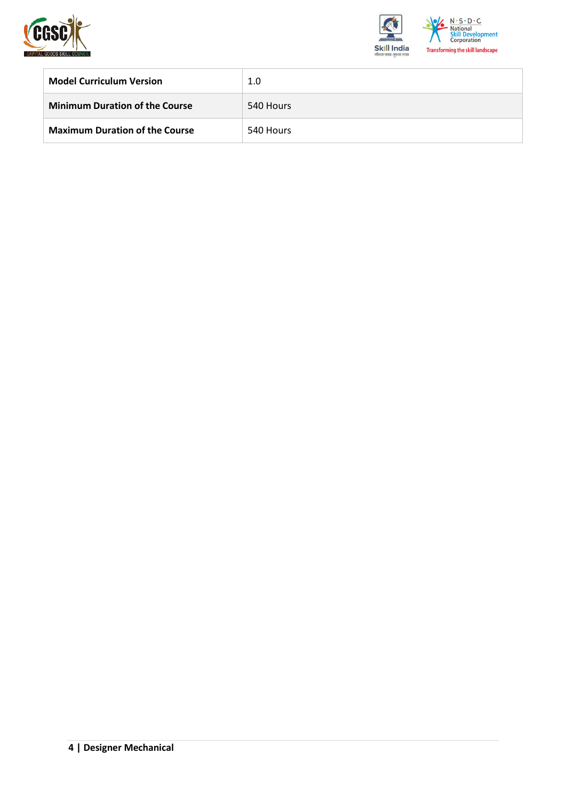



| <b>Model Curriculum Version</b>       | 1.0       |
|---------------------------------------|-----------|
| <b>Minimum Duration of the Course</b> | 540 Hours |
| <b>Maximum Duration of the Course</b> | 540 Hours |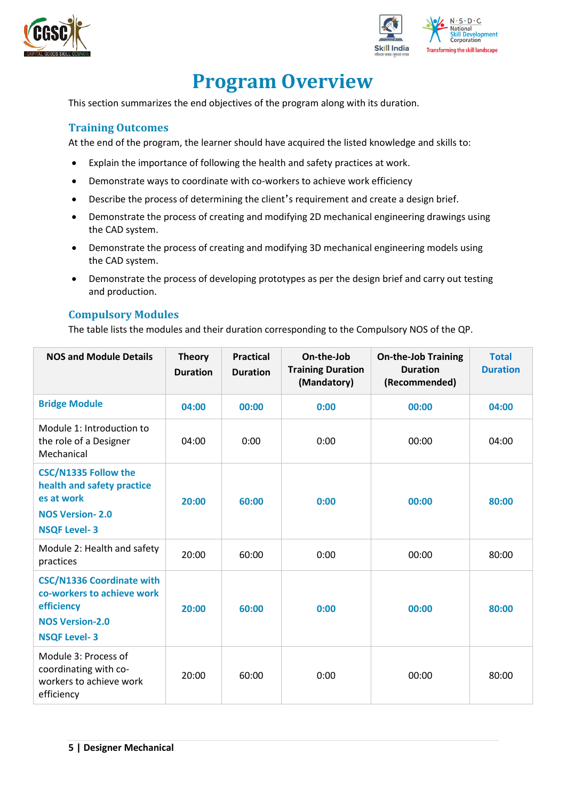



## **Program Overview**

<span id="page-4-0"></span>This section summarizes the end objectives of the program along with its duration.

#### <span id="page-4-1"></span>**Training Outcomes**

At the end of the program, the learner should have acquired the listed knowledge and skills to:

- Explain the importance of following the health and safety practices at work.
- Demonstrate ways to coordinate with co-workers to achieve work efficiency
- Describe the process of determining the client's requirement and create a design brief.
- Demonstrate the process of creating and modifying 2D mechanical engineering drawings using the CAD system.
- Demonstrate the process of creating and modifying 3D mechanical engineering models using the CAD system.
- Demonstrate the process of developing prototypes as per the design brief and carry out testing and production.

#### <span id="page-4-2"></span>**Compulsory Modules**

The table lists the modules and their duration corresponding to the Compulsory NOS of the QP.

| <b>NOS and Module Details</b>                                                                                                 | <b>Theory</b><br><b>Duration</b> | <b>Practical</b><br><b>Duration</b> | On-the-Job<br><b>Training Duration</b><br>(Mandatory) | <b>On-the-Job Training</b><br><b>Duration</b><br>(Recommended) | <b>Total</b><br><b>Duration</b> |
|-------------------------------------------------------------------------------------------------------------------------------|----------------------------------|-------------------------------------|-------------------------------------------------------|----------------------------------------------------------------|---------------------------------|
| <b>Bridge Module</b>                                                                                                          | 04:00                            | 00:00                               | 0:00                                                  | 00:00                                                          | 04:00                           |
| Module 1: Introduction to<br>the role of a Designer<br>Mechanical                                                             | 04:00                            | 0:00                                | 0:00                                                  | 00:00                                                          | 04:00                           |
| <b>CSC/N1335 Follow the</b><br>health and safety practice<br>es at work<br><b>NOS Version-2.0</b><br><b>NSQF Level-3</b>      | 20:00                            | 60:00                               | 0:00                                                  | 00:00                                                          | 80:00                           |
| Module 2: Health and safety<br>practices                                                                                      | 20:00                            | 60:00                               | 0:00                                                  | 00:00                                                          | 80:00                           |
| <b>CSC/N1336 Coordinate with</b><br>co-workers to achieve work<br>efficiency<br><b>NOS Version-2.0</b><br><b>NSQF Level-3</b> | 20:00                            | 60:00                               | 0:00                                                  | 00:00                                                          | 80:00                           |
| Module 3: Process of<br>coordinating with co-<br>workers to achieve work<br>efficiency                                        | 20:00                            | 60:00                               | 0:00                                                  | 00:00                                                          | 80:00                           |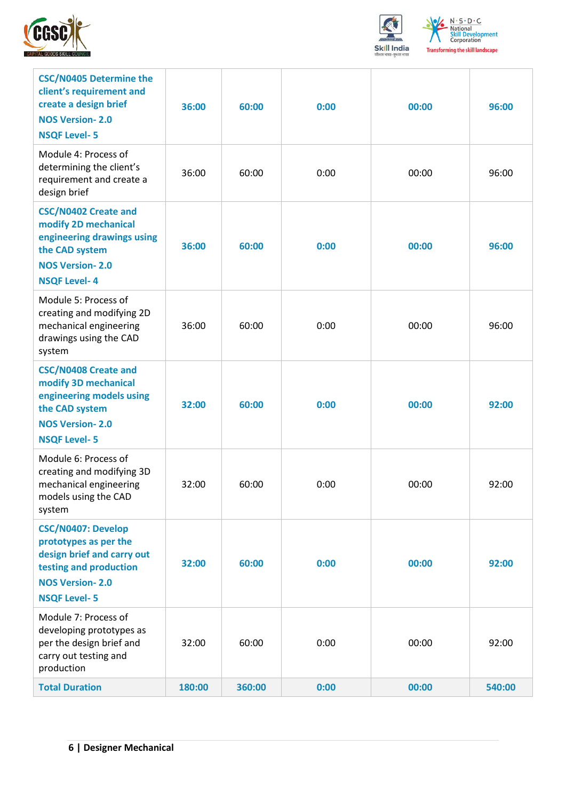



| <b>CSC/N0405 Determine the</b><br>client's requirement and<br>create a design brief<br><b>NOS Version-2.0</b><br><b>NSQF Level-5</b>                        | 36:00  | 60:00  | 0:00 | 00:00 | 96:00  |
|-------------------------------------------------------------------------------------------------------------------------------------------------------------|--------|--------|------|-------|--------|
| Module 4: Process of<br>determining the client's<br>requirement and create a<br>design brief                                                                | 36:00  | 60:00  | 0:00 | 00:00 | 96:00  |
| <b>CSC/N0402 Create and</b><br>modify 2D mechanical<br>engineering drawings using<br>the CAD system<br><b>NOS Version-2.0</b><br><b>NSQF Level-4</b>        | 36:00  | 60:00  | 0:00 | 00:00 | 96:00  |
| Module 5: Process of<br>creating and modifying 2D<br>mechanical engineering<br>drawings using the CAD<br>system                                             | 36:00  | 60:00  | 0:00 | 00:00 | 96:00  |
| <b>CSC/N0408 Create and</b><br>modify 3D mechanical<br>engineering models using<br>the CAD system<br><b>NOS Version-2.0</b><br><b>NSQF Level-5</b>          | 32:00  | 60:00  | 0:00 | 00:00 | 92:00  |
| Module 6: Process of<br>creating and modifying 3D<br>mechanical engineering<br>models using the CAD<br>system                                               | 32:00  | 60:00  | 0:00 | 00:00 | 92:00  |
| <b>CSC/N0407: Develop</b><br>prototypes as per the<br>design brief and carry out<br>testing and production<br><b>NOS Version-2.0</b><br><b>NSQF Level-5</b> | 32:00  | 60:00  | 0:00 | 00:00 | 92:00  |
| Module 7: Process of<br>developing prototypes as<br>per the design brief and<br>carry out testing and<br>production                                         | 32:00  | 60:00  | 0:00 | 00:00 | 92:00  |
| <b>Total Duration</b>                                                                                                                                       | 180:00 | 360:00 | 0:00 | 00:00 | 540:00 |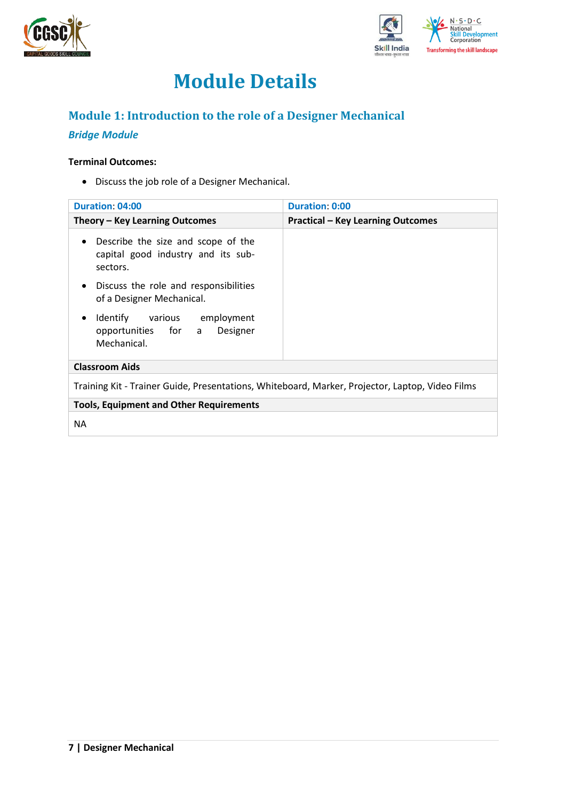



## **Module Details**

## <span id="page-6-0"></span>**Module 1: Introduction to the role of a Designer Mechanical**

## *Bridge Module*

#### **Terminal Outcomes:**

• Discuss the job role of a Designer Mechanical.

| <b>Duration: 04:00</b>                                                                            | <b>Duration: 0:00</b>                    |
|---------------------------------------------------------------------------------------------------|------------------------------------------|
| Theory – Key Learning Outcomes                                                                    | <b>Practical - Key Learning Outcomes</b> |
| Describe the size and scope of the<br>$\bullet$<br>capital good industry and its sub-<br>sectors. |                                          |
| Discuss the role and responsibilities<br>$\bullet$<br>of a Designer Mechanical.                   |                                          |
| Identify<br>various employment<br>Designer<br>opportunities for a<br>Mechanical.                  |                                          |
| <b>Classroom Aids</b>                                                                             |                                          |
| Training Kit - Trainer Guide, Presentations, Whiteboard, Marker, Projector, Laptop, Video Films   |                                          |
| <b>Tools, Equipment and Other Requirements</b>                                                    |                                          |
| NA.                                                                                               |                                          |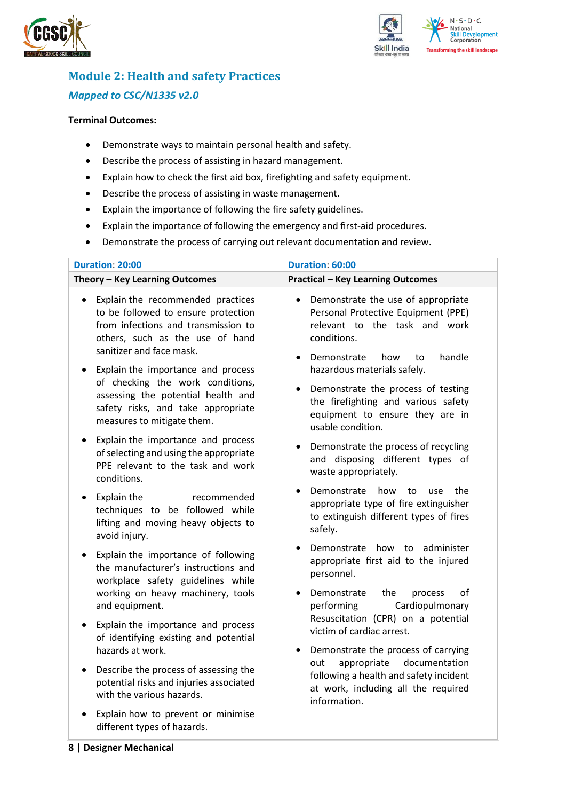



## <span id="page-7-0"></span>**Module 2: Health and safety Practices** *Mapped to CSC/N1335 v2.0*

- Demonstrate ways to maintain personal health and safety.
- Describe the process of assisting in hazard management.
- Explain how to check the first aid box, firefighting and safety equipment.
- Describe the process of assisting in waste management.
- Explain the importance of following the fire safety guidelines.
- Explain the importance of following the emergency and first-aid procedures.
- Demonstrate the process of carrying out relevant documentation and review.

| <b>Duration: 20:00</b>                                                                                                                                                                        | Duration: 60:00                                                                                                                                                               |
|-----------------------------------------------------------------------------------------------------------------------------------------------------------------------------------------------|-------------------------------------------------------------------------------------------------------------------------------------------------------------------------------|
| Theory - Key Learning Outcomes                                                                                                                                                                | <b>Practical - Key Learning Outcomes</b>                                                                                                                                      |
| Explain the recommended practices<br>$\bullet$<br>to be followed to ensure protection<br>from infections and transmission to<br>others, such as the use of hand<br>sanitizer and face mask.   | Demonstrate the use of appropriate<br>$\bullet$<br>Personal Protective Equipment (PPE)<br>relevant to the task and work<br>conditions.<br>Demonstrate<br>handle<br>how<br>to  |
| Explain the importance and process<br>$\bullet$<br>of checking the work conditions,<br>assessing the potential health and<br>safety risks, and take appropriate<br>measures to mitigate them. | hazardous materials safely.<br>Demonstrate the process of testing<br>$\bullet$<br>the firefighting and various safety<br>equipment to ensure they are in<br>usable condition. |
| Explain the importance and process<br>$\bullet$<br>of selecting and using the appropriate<br>PPE relevant to the task and work<br>conditions.                                                 | Demonstrate the process of recycling<br>٠<br>and disposing different types of<br>waste appropriately.                                                                         |
| Explain the<br>recommended<br>$\bullet$<br>techniques to be followed while<br>lifting and moving heavy objects to<br>avoid injury.                                                            | Demonstrate<br>how<br>the<br>to<br>use<br>appropriate type of fire extinguisher<br>to extinguish different types of fires<br>safely.                                          |
| Explain the importance of following<br>$\bullet$<br>the manufacturer's instructions and<br>workplace safety guidelines while<br>working on heavy machinery, tools                             | Demonstrate how to administer<br>appropriate first aid to the injured<br>personnel.<br>Demonstrate<br>the<br>οf<br>process<br>٠                                               |
| and equipment.<br>Explain the importance and process<br>$\bullet$                                                                                                                             | Cardiopulmonary<br>performing<br>Resuscitation (CPR) on a potential<br>victim of cardiac arrest.                                                                              |
| of identifying existing and potential<br>hazards at work.                                                                                                                                     | Demonstrate the process of carrying<br>$\bullet$                                                                                                                              |
| Describe the process of assessing the<br>$\bullet$<br>potential risks and injuries associated<br>with the various hazards.                                                                    | appropriate<br>documentation<br>out<br>following a health and safety incident<br>at work, including all the required<br>information.                                          |
| Explain how to prevent or minimise<br>different types of hazards.                                                                                                                             |                                                                                                                                                                               |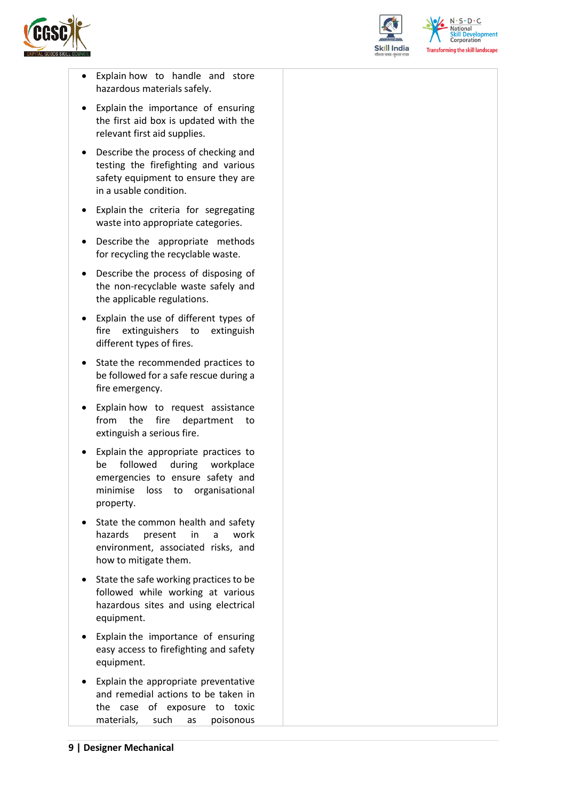



 $N.5.0.6$ National **Skill Development**<br>Corporation **Transforming the skill landscape** 

- Explain how to handle and store hazardous materials safely.
- Explain the importance of ensuring the first aid box is updated with the relevant first aid supplies.
- Describe the process of checking and testing the firefighting and various safety equipment to ensure they are in a usable condition.
- Explain the criteria for segregating waste into appropriate categories.
- Describe the appropriate methods for recycling the recyclable waste.
- Describe the process of disposing of the non-recyclable waste safely and the applicable regulations.
- Explain the use of different types of fire extinguishers to extinguish different types of fires.
- State the recommended practices to be followed for a safe rescue during a fire emergency.
- Explain how to request assistance from the fire department to extinguish a serious fire.
- Explain the appropriate practices to be followed during workplace emergencies to ensure safety and minimise loss to organisational property.
- State the common health and safety hazards present in a work environment, associated risks, and how to mitigate them.
- State the safe working practices to be followed while working at various hazardous sites and using electrical equipment.
- Explain the importance of ensuring easy access to firefighting and safety equipment.
- Explain the appropriate preventative and remedial actions to be taken in the case of exposure to toxic materials, such as poisonous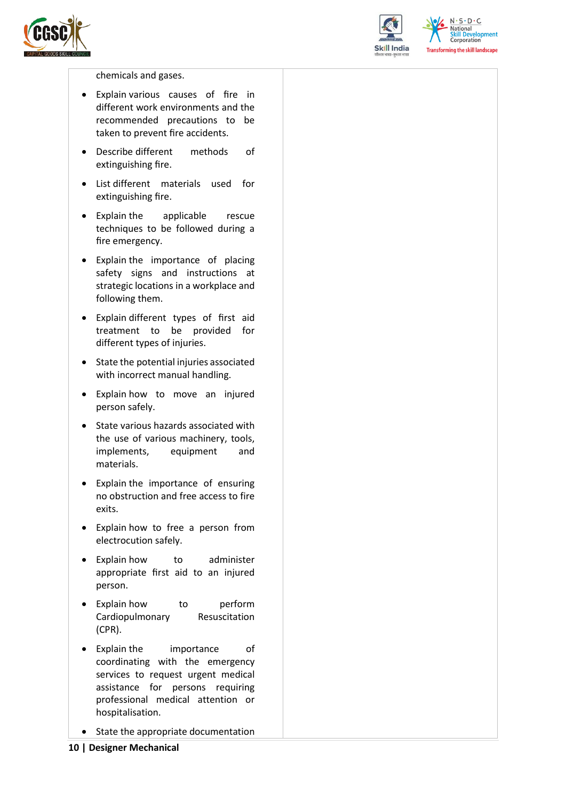



 $N \cdot S \cdot D \cdot C$ National **Skill Development**<br>Corporation **Transforming the skill landscape** 

chemicals and gases.

- Explain various causes of fire in different work environments and the recommended precautions to be taken to prevent fire accidents.
- Describe different methods of extinguishing fire.
- List different materials used for extinguishing fire.
- Explain the applicable rescue techniques to be followed during a fire emergency.
- Explain the importance of placing safety signs and instructions at strategic locations in a workplace and following them.
- Explain different types of first aid treatment to be provided for different types of injuries.
- State the potential injuries associated with incorrect manual handling.
- Explain how to move an injured person safely.
- State various hazards associated with the use of various machinery, tools, implements, equipment and materials.
- Explain the importance of ensuring no obstruction and free access to fire exits.
- Explain how to free a person from electrocution safely.
- Explain how to administer appropriate first aid to an injured person.
- Explain how to perform Cardiopulmonary Resuscitation (CPR).
- Explain the importance of coordinating with the emergency services to request urgent medical assistance for persons requiring professional medical attention or hospitalisation.
- State the appropriate documentation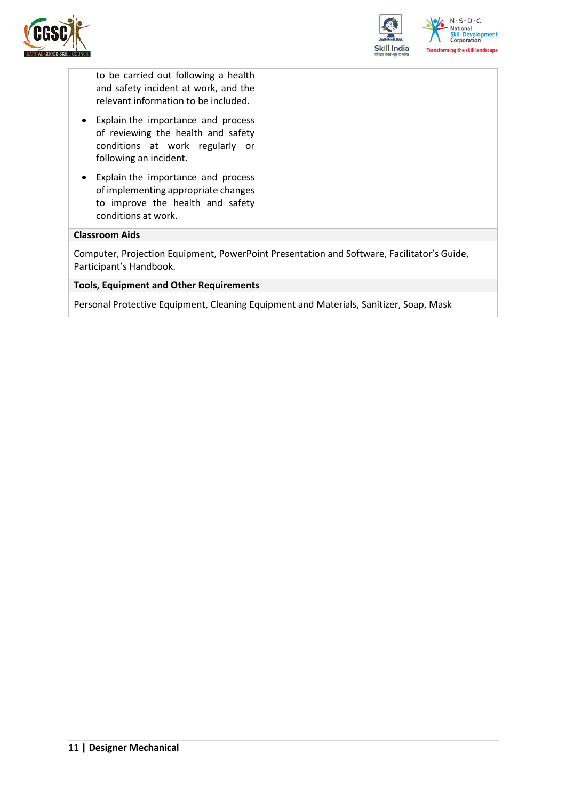



to be carried out following a health and safety incident at work, and the relevant information to be included.

- Explain the importance and process of reviewing the health and safety conditions at work regularly or following an incident.
- Explain the importance and process of implementing appropriate changes to improve the health and safety conditions at work.

#### **Classroom Aids**

Computer, Projection Equipment, PowerPoint Presentation and Software, Facilitator's Guide, Participant's Handbook.

#### **Tools, Equipment and Other Requirements**

Personal Protective Equipment, Cleaning Equipment and Materials, Sanitizer, Soap, Mask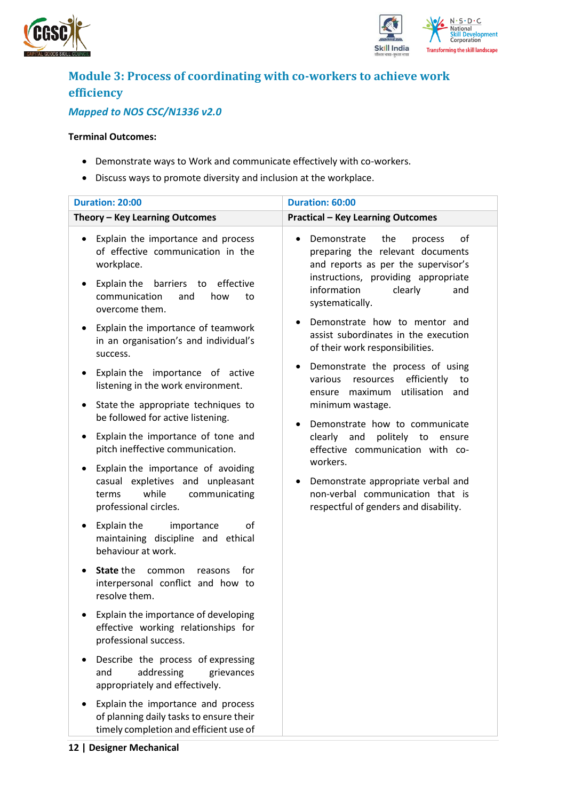



## <span id="page-11-0"></span>**Module 3: Process of coordinating with co-workers to achieve work efficiency**

## *Mapped to NOS CSC/N1336 v2.0*

- Demonstrate ways to Work and communicate effectively with co-workers.
- Discuss ways to promote diversity and inclusion at the workplace.

| <b>Duration: 20:00</b>                                                                                                                                                                                                                                       | Duration: 60:00                                                                                                                                                                                                                                                                    |
|--------------------------------------------------------------------------------------------------------------------------------------------------------------------------------------------------------------------------------------------------------------|------------------------------------------------------------------------------------------------------------------------------------------------------------------------------------------------------------------------------------------------------------------------------------|
| Theory - Key Learning Outcomes                                                                                                                                                                                                                               | <b>Practical - Key Learning Outcomes</b>                                                                                                                                                                                                                                           |
| Explain the importance and process<br>٠<br>of effective communication in the<br>workplace.<br>Explain the<br>barriers to<br>effective<br>$\bullet$<br>communication<br>and<br>how<br>to<br>overcome them.<br>Explain the importance of teamwork<br>$\bullet$ | Demonstrate<br>the<br>of<br>process<br>preparing the relevant documents<br>and reports as per the supervisor's<br>instructions, providing appropriate<br>information<br>clearly<br>and<br>systematically.<br>Demonstrate how to mentor and<br>assist subordinates in the execution |
| in an organisation's and individual's<br>success.<br>Explain the importance of active<br>$\bullet$<br>listening in the work environment.                                                                                                                     | of their work responsibilities.<br>Demonstrate the process of using<br>efficiently<br>various<br>resources<br>to                                                                                                                                                                   |
| State the appropriate techniques to<br>٠<br>be followed for active listening.                                                                                                                                                                                | utilisation and<br>ensure maximum<br>minimum wastage.<br>Demonstrate how to communicate                                                                                                                                                                                            |
| Explain the importance of tone and<br>٠<br>pitch ineffective communication.                                                                                                                                                                                  | clearly and<br>politely to ensure<br>effective communication with co-<br>workers.                                                                                                                                                                                                  |
| Explain the importance of avoiding<br>٠<br>casual expletives and unpleasant<br>while<br>communicating<br>terms<br>professional circles.                                                                                                                      | Demonstrate appropriate verbal and<br>non-verbal communication that is<br>respectful of genders and disability.                                                                                                                                                                    |
| Explain the<br>importance<br>οf<br>٠<br>maintaining discipline and ethical<br>behaviour at work.                                                                                                                                                             |                                                                                                                                                                                                                                                                                    |
| State the<br>common<br>for<br>reasons<br>$\bullet$<br>interpersonal conflict and how to<br>resolve them.                                                                                                                                                     |                                                                                                                                                                                                                                                                                    |
| Explain the importance of developing<br>effective working relationships for<br>professional success.                                                                                                                                                         |                                                                                                                                                                                                                                                                                    |
| Describe the process of expressing<br>addressing<br>and<br>grievances<br>appropriately and effectively.                                                                                                                                                      |                                                                                                                                                                                                                                                                                    |
| Explain the importance and process<br>of planning daily tasks to ensure their<br>timely completion and efficient use of                                                                                                                                      |                                                                                                                                                                                                                                                                                    |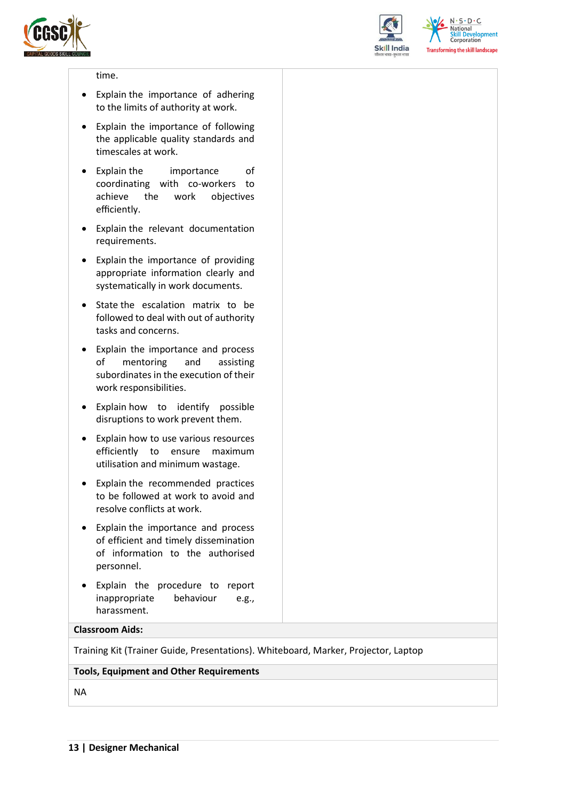



 $N.5.0.6$ **National Skill Development**<br>Corporation **Transforming the skill landscape** 

#### time.

- Explain the importance of adhering to the limits of authority at work.
- Explain the importance of following the applicable quality standards and timescales at work.
- Explain the importance of coordinating with co-workers to achieve the work objectives efficiently.
- Explain the relevant documentation requirements.
- Explain the importance of providing appropriate information clearly and systematically in work documents.
- State the escalation matrix to be followed to deal with out of authority tasks and concerns.
- Explain the importance and process of mentoring and assisting subordinates in the execution of their work responsibilities.
- Explain how to identify possible disruptions to work prevent them.
- Explain how to use various resources efficiently to ensure maximum utilisation and minimum wastage.
- Explain the recommended practices to be followed at work to avoid and resolve conflicts at work.
- Explain the importance and process of efficient and timely dissemination of information to the authorised personnel.
- Explain the procedure to report inappropriate behaviour e.g., harassment.

#### **Classroom Aids:**

Training Kit (Trainer Guide, Presentations). Whiteboard, Marker, Projector, Laptop

#### **Tools, Equipment and Other Requirements**

NA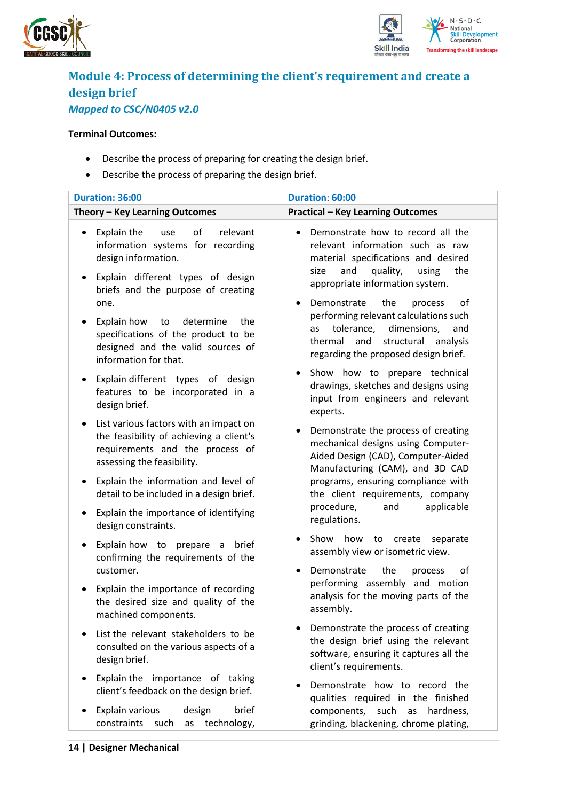



## <span id="page-13-0"></span>**Module 4: Process of determining the client's requirement and create a design brief** *Mapped to CSC/N0405 v2.0*

- Describe the process of preparing for creating the design brief.
- Describe the process of preparing the design brief.

| Duration: 36:00                                                                                                                                                                                       | Duration: 60:00                                                                                                                                                                                                                                |
|-------------------------------------------------------------------------------------------------------------------------------------------------------------------------------------------------------|------------------------------------------------------------------------------------------------------------------------------------------------------------------------------------------------------------------------------------------------|
| Theory - Key Learning Outcomes                                                                                                                                                                        | <b>Practical - Key Learning Outcomes</b>                                                                                                                                                                                                       |
| Explain the<br>of<br>relevant<br>use<br>$\bullet$<br>information systems for recording<br>design information.<br>Explain different types of design<br>٠<br>briefs and the purpose of creating<br>one. | Demonstrate how to record all the<br>relevant information such as raw<br>material specifications and desired<br>size<br>and<br>quality,<br>using<br>the<br>appropriate information system.<br>the<br>Demonstrate<br>οf<br>process<br>$\bullet$ |
| Explain how<br>determine<br>the<br>to<br>$\bullet$<br>specifications of the product to be<br>designed and the valid sources of<br>information for that.                                               | performing relevant calculations such<br>tolerance,<br>dimensions,<br>as<br>and<br>thermal<br>and<br>structural analysis<br>regarding the proposed design brief.                                                                               |
| Explain different types of design<br>$\bullet$<br>features to be incorporated in a<br>design brief.                                                                                                   | Show how to prepare technical<br>$\bullet$<br>drawings, sketches and designs using<br>input from engineers and relevant<br>experts.                                                                                                            |
| List various factors with an impact on<br>$\bullet$<br>the feasibility of achieving a client's<br>requirements and the process of<br>assessing the feasibility.                                       | Demonstrate the process of creating<br>٠<br>mechanical designs using Computer-<br>Aided Design (CAD), Computer-Aided<br>Manufacturing (CAM), and 3D CAD                                                                                        |
| Explain the information and level of<br>$\bullet$<br>detail to be included in a design brief.                                                                                                         | programs, ensuring compliance with<br>the client requirements, company                                                                                                                                                                         |
| Explain the importance of identifying<br>٠<br>design constraints.                                                                                                                                     | applicable<br>procedure,<br>and<br>regulations.                                                                                                                                                                                                |
| Explain how to prepare<br>a brief<br>$\bullet$<br>confirming the requirements of the                                                                                                                  | Show how<br>to<br>create<br>separate<br>٠<br>assembly view or isometric view.                                                                                                                                                                  |
| customer.                                                                                                                                                                                             | Demonstrate<br>the<br>οf<br>process<br>$\bullet$                                                                                                                                                                                               |
| Explain the importance of recording<br>$\bullet$<br>the desired size and quality of the<br>machined components.                                                                                       | performing assembly and motion<br>analysis for the moving parts of the<br>assembly.                                                                                                                                                            |
| List the relevant stakeholders to be<br>consulted on the various aspects of a<br>design brief.                                                                                                        | Demonstrate the process of creating<br>the design brief using the relevant<br>software, ensuring it captures all the<br>client's requirements.                                                                                                 |
| Explain the importance of taking<br>٠<br>client's feedback on the design brief.                                                                                                                       | Demonstrate how to record the<br>qualities required in the finished                                                                                                                                                                            |
| Explain various<br>design<br>brief<br>constraints<br>such<br>technology,<br>as                                                                                                                        | components, such as hardness,<br>grinding, blackening, chrome plating,                                                                                                                                                                         |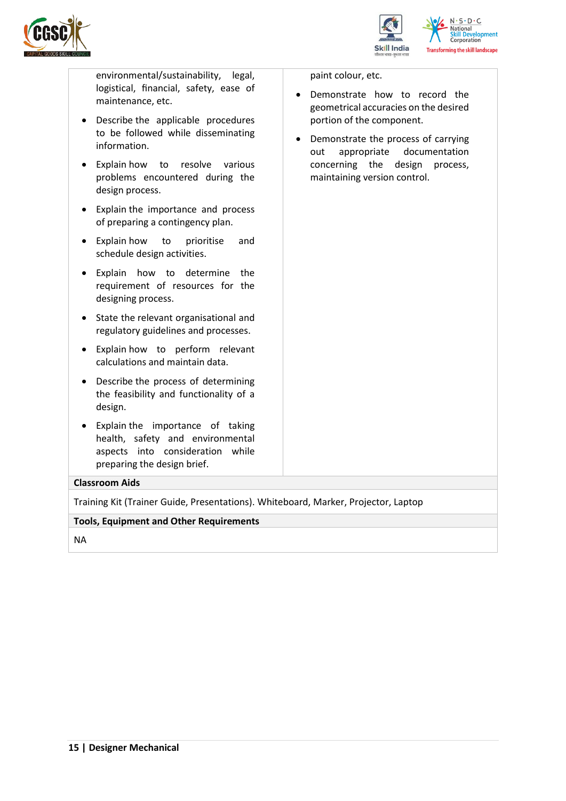



environmental/sustainability, legal, logistical, financial, safety, ease of maintenance, etc.

- Describe the applicable procedures to be followed while disseminating information.
- Explain how to resolve various problems encountered during the design process.
- Explain the importance and process of preparing a contingency plan.
- Explain how to prioritise and schedule design activities.
- Explain how to determine the requirement of resources for the designing process.
- State the relevant organisational and regulatory guidelines and processes.
- Explain how to perform relevant calculations and maintain data.
- Describe the process of determining the feasibility and functionality of a design.
- Explain the importance of taking health, safety and environmental aspects into consideration while preparing the design brief.

**Classroom Aids**

Training Kit (Trainer Guide, Presentations). Whiteboard, Marker, Projector, Laptop

**Tools, Equipment and Other Requirements** 

NA

paint colour, etc.

- Demonstrate how to record the geometrical accuracies on the desired portion of the component.
- Demonstrate the process of carrying out appropriate documentation concerning the design process, maintaining version control.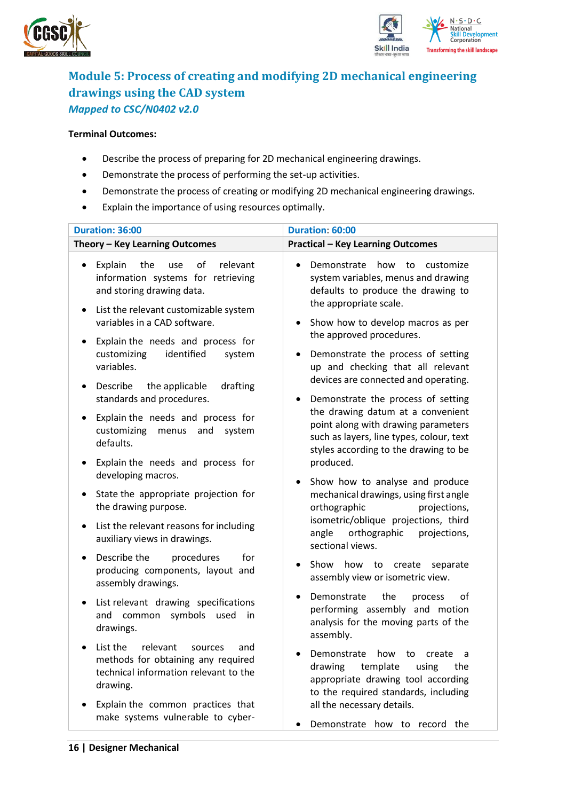



## <span id="page-15-0"></span>**Module 5: Process of creating and modifying 2D mechanical engineering drawings using the CAD system** *Mapped to CSC/N0402 v2.0*

- Describe the process of preparing for 2D mechanical engineering drawings.
- Demonstrate the process of performing the set-up activities.
- Demonstrate the process of creating or modifying 2D mechanical engineering drawings.
- Explain the importance of using resources optimally.

| Duration: 36:00                                                                                                                                                                                                                                                                                                      | Duration: 60:00                                                                                                                                                                                                                                                                              |  |  |
|----------------------------------------------------------------------------------------------------------------------------------------------------------------------------------------------------------------------------------------------------------------------------------------------------------------------|----------------------------------------------------------------------------------------------------------------------------------------------------------------------------------------------------------------------------------------------------------------------------------------------|--|--|
| Theory - Key Learning Outcomes                                                                                                                                                                                                                                                                                       | <b>Practical - Key Learning Outcomes</b>                                                                                                                                                                                                                                                     |  |  |
| of<br>Explain<br>the<br>relevant<br>use<br>$\bullet$<br>information systems for retrieving<br>and storing drawing data.<br>List the relevant customizable system<br>$\bullet$<br>variables in a CAD software.<br>Explain the needs and process for<br>$\bullet$<br>customizing<br>identified<br>system<br>variables. | Demonstrate how to customize<br>$\bullet$<br>system variables, menus and drawing<br>defaults to produce the drawing to<br>the appropriate scale.<br>Show how to develop macros as per<br>the approved procedures.<br>Demonstrate the process of setting<br>up and checking that all relevant |  |  |
| Describe<br>the applicable<br>drafting<br>$\bullet$<br>standards and procedures.<br>Explain the needs and process for<br>$\bullet$<br>customizing<br>menus and system<br>defaults.                                                                                                                                   | devices are connected and operating.<br>Demonstrate the process of setting<br>$\bullet$<br>the drawing datum at a convenient<br>point along with drawing parameters<br>such as layers, line types, colour, text<br>styles according to the drawing to be                                     |  |  |
| Explain the needs and process for<br>٠<br>developing macros.<br>State the appropriate projection for<br>$\bullet$<br>the drawing purpose.                                                                                                                                                                            | produced.<br>Show how to analyse and produce<br>$\bullet$<br>mechanical drawings, using first angle<br>orthographic<br>projections,                                                                                                                                                          |  |  |
| List the relevant reasons for including<br>$\bullet$<br>auxiliary views in drawings.                                                                                                                                                                                                                                 | isometric/oblique projections, third<br>orthographic<br>angle<br>projections,<br>sectional views.                                                                                                                                                                                            |  |  |
| Describe the<br>procedures<br>for<br>$\bullet$<br>producing components, layout and<br>assembly drawings.                                                                                                                                                                                                             | how<br>Show<br>to<br>create<br>separate<br>assembly view or isometric view.                                                                                                                                                                                                                  |  |  |
| List relevant drawing specifications<br>$\bullet$<br>symbols<br>and common<br>used<br>in.<br>drawings.                                                                                                                                                                                                               | Demonstrate<br>the<br>οf<br>process<br>$\bullet$<br>performing assembly and motion<br>analysis for the moving parts of the<br>assembly.                                                                                                                                                      |  |  |
| List the relevant sources and<br>methods for obtaining any required<br>technical information relevant to the<br>drawing.                                                                                                                                                                                             | Demonstrate<br>how to<br>create<br>a<br>template<br>drawing<br>using<br>the<br>appropriate drawing tool according<br>to the required standards, including                                                                                                                                    |  |  |
| Explain the common practices that<br>make systems vulnerable to cyber-                                                                                                                                                                                                                                               | all the necessary details.<br>Demonstrate how to record the                                                                                                                                                                                                                                  |  |  |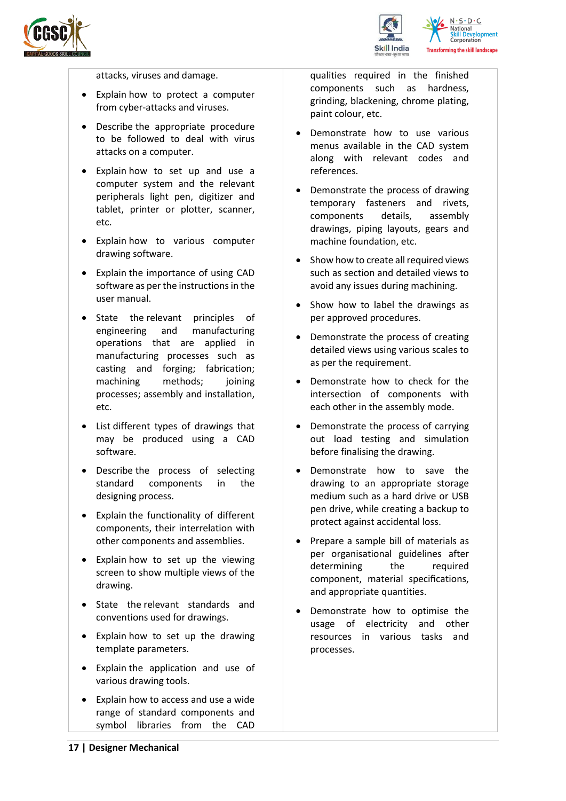



attacks, viruses and damage.

- Explain how to protect a computer from cyber-attacks and viruses.
- Describe the appropriate procedure to be followed to deal with virus attacks on a computer.
- Explain how to set up and use a computer system and the relevant peripherals light pen, digitizer and tablet, printer or plotter, scanner, etc.
- Explain how to various computer drawing software.
- Explain the importance of using CAD software as per the instructions in the user manual.
- State the relevant principles of engineering and manufacturing operations that are applied in manufacturing processes such as casting and forging; fabrication; machining methods: joining processes; assembly and installation, etc.
- List different types of drawings that may be produced using a CAD software.
- Describe the process of selecting standard components in the designing process.
- Explain the functionality of different components, their interrelation with other components and assemblies.
- Explain how to set up the viewing screen to show multiple views of the drawing.
- State the relevant standards and conventions used for drawings.
- Explain how to set up the drawing template parameters.
- Explain the application and use of various drawing tools.
- Explain how to access and use a wide range of standard components and symbol libraries from the CAD

qualities required in the finished components such as hardness, grinding, blackening, chrome plating, paint colour, etc.

- Demonstrate how to use various menus available in the CAD system along with relevant codes and references.
- Demonstrate the process of drawing temporary fasteners and rivets, components details, assembly drawings, piping layouts, gears and machine foundation, etc.
- Show how to create all required views such as section and detailed views to avoid any issues during machining.
- Show how to label the drawings as per approved procedures.
- Demonstrate the process of creating detailed views using various scales to as per the requirement.
- Demonstrate how to check for the intersection of components with each other in the assembly mode.
- Demonstrate the process of carrying out load testing and simulation before finalising the drawing.
- Demonstrate how to save the drawing to an appropriate storage medium such as a hard drive or USB pen drive, while creating a backup to protect against accidental loss.
- Prepare a sample bill of materials as per organisational guidelines after determining the required component, material specifications, and appropriate quantities.
- Demonstrate how to optimise the usage of electricity and other resources in various tasks and processes.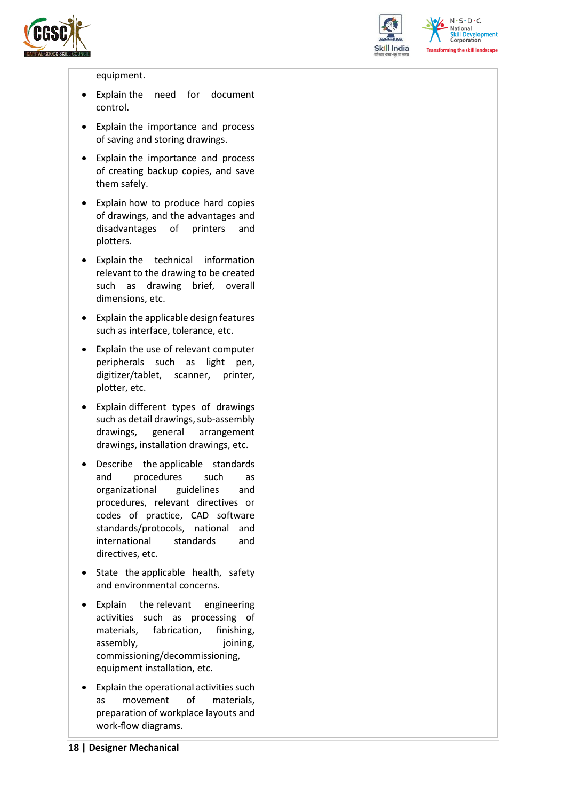



 $N.5.0.6$ **Skill Development**<br>Corporation **Transforming the skill landscape** 

#### equipment.

- Explain the need for document control.
- Explain the importance and process of saving and storing drawings.
- Explain the importance and process of creating backup copies, and save them safely.
- Explain how to produce hard copies of drawings, and the advantages and disadvantages of printers and plotters.
- Explain the technical information relevant to the drawing to be created such as drawing brief, overall dimensions, etc.
- Explain the applicable design features such as interface, tolerance, etc.
- Explain the use of relevant computer peripherals such as light pen, digitizer/tablet, scanner, printer, plotter, etc.
- Explain different types of drawings such as detail drawings, sub-assembly drawings, general arrangement drawings, installation drawings, etc.
- Describe the applicable standards and procedures such as organizational guidelines and procedures, relevant directives or codes of practice, CAD software standards/protocols, national and international standards and directives, etc.
- State the applicable health, safety and environmental concerns.
- Explain the relevant engineering activities such as processing of materials, fabrication, finishing, assembly, ioining, commissioning/decommissioning, equipment installation, etc.
- Explain the operational activities such as movement of materials, preparation of workplace layouts and work-flow diagrams.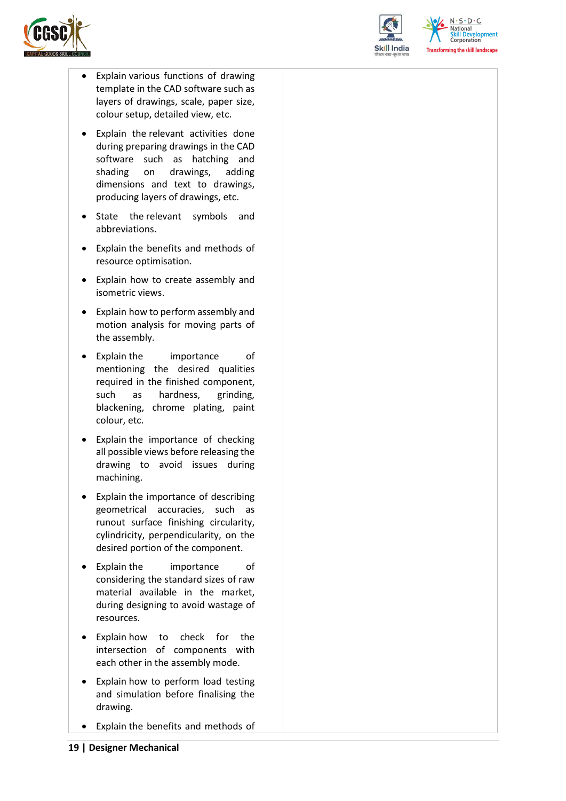



 $N.5.0.6$ **Skill Development**<br>Corporation **Transforming the skill landscape** 

- Explain various functions of drawing template in the CAD software such as layers of drawings, scale, paper size, colour setup, detailed view, etc.
- Explain the relevant activities done during preparing drawings in the CAD software such as hatching and shading on drawings, adding dimensions and text to drawings, producing layers of drawings, etc.
- State the relevant symbols and abbreviations.
- Explain the benefits and methods of resource optimisation.
- Explain how to create assembly and isometric views.
- Explain how to perform assembly and motion analysis for moving parts of the assembly.
- Explain the importance of mentioning the desired qualities required in the finished component, such as hardness, grinding, blackening, chrome plating, paint colour, etc.
- Explain the importance of checking all possible views before releasing the drawing to avoid issues during machining.
- Explain the importance of describing geometrical accuracies, such as runout surface finishing circularity, cylindricity, perpendicularity, on the desired portion of the component.
- Explain the importance of considering the standard sizes of raw material available in the market, during designing to avoid wastage of resources.
- Explain how to check for the intersection of components with each other in the assembly mode.
- Explain how to perform load testing and simulation before finalising the drawing.
- Explain the benefits and methods of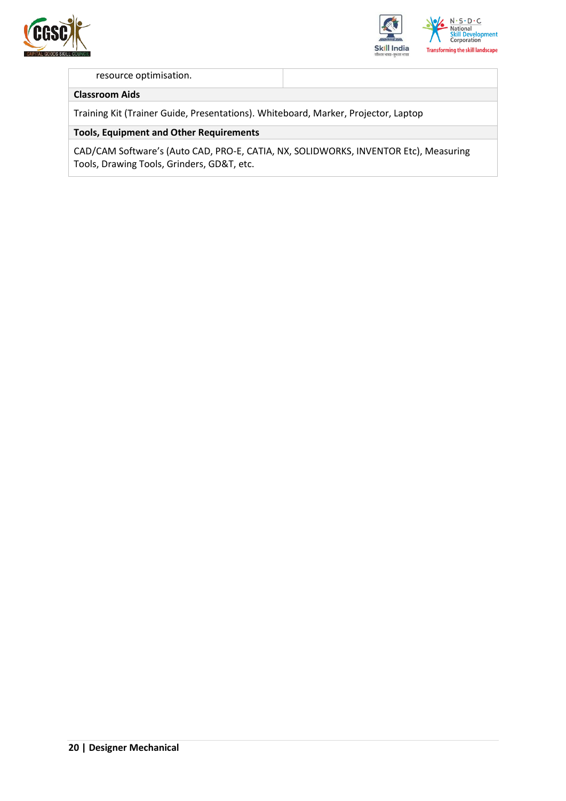



#### resource optimisation.

#### **Classroom Aids**

Training Kit (Trainer Guide, Presentations). Whiteboard, Marker, Projector, Laptop

#### **Tools, Equipment and Other Requirements**

CAD/CAM Software's (Auto CAD, PRO-E, CATIA, NX, SOLIDWORKS, INVENTOR Etc), Measuring Tools, Drawing Tools, Grinders, GD&T, etc.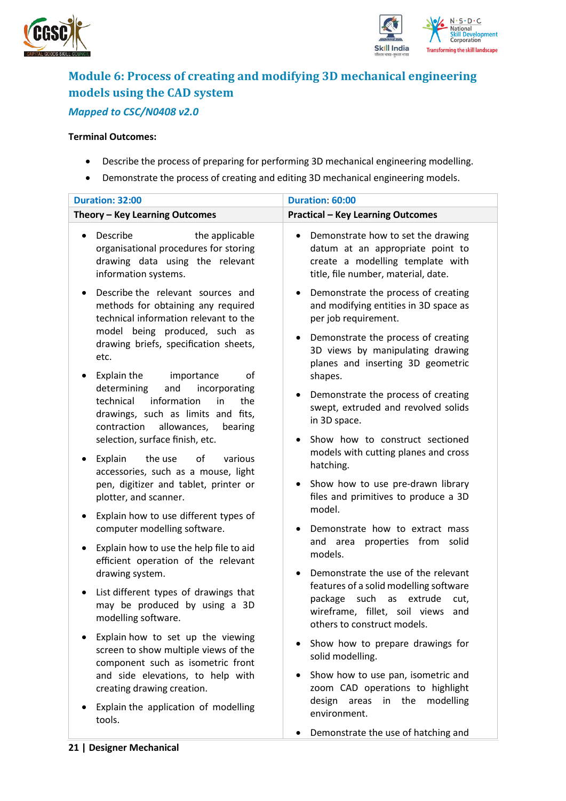



## <span id="page-20-0"></span>**Module 6: Process of creating and modifying 3D mechanical engineering models using the CAD system** *Mapped to CSC/N0408 v2.0*

- Describe the process of preparing for performing 3D mechanical engineering modelling.
- Demonstrate the process of creating and editing 3D mechanical engineering models.

| <b>Duration: 32:00</b>                                                                                                                                                                                          | Duration: 60:00                                                                                                                                           |
|-----------------------------------------------------------------------------------------------------------------------------------------------------------------------------------------------------------------|-----------------------------------------------------------------------------------------------------------------------------------------------------------|
| Theory - Key Learning Outcomes                                                                                                                                                                                  | <b>Practical - Key Learning Outcomes</b>                                                                                                                  |
| Describe<br>the applicable<br>$\bullet$<br>organisational procedures for storing<br>drawing data using the relevant<br>information systems.                                                                     | Demonstrate how to set the drawing<br>٠<br>datum at an appropriate point to<br>create a modelling template with<br>title, file number, material, date.    |
| Describe the relevant sources and<br>$\bullet$<br>methods for obtaining any required<br>technical information relevant to the<br>model being produced, such as<br>drawing briefs, specification sheets,<br>etc. | Demonstrate the process of creating<br>٠<br>and modifying entities in 3D space as<br>per job requirement.                                                 |
|                                                                                                                                                                                                                 | Demonstrate the process of creating<br>3D views by manipulating drawing<br>planes and inserting 3D geometric                                              |
| Explain the<br>of<br>importance<br>٠                                                                                                                                                                            | shapes.                                                                                                                                                   |
| determining<br>and<br>incorporating<br>information<br>technical<br>in<br>the<br>drawings, such as limits and fits,<br>contraction<br>allowances,<br>bearing                                                     | Demonstrate the process of creating<br>swept, extruded and revolved solids<br>in 3D space.                                                                |
| selection, surface finish, etc.                                                                                                                                                                                 | Show how to construct sectioned                                                                                                                           |
| Explain<br>the use<br>of<br>various<br>٠<br>accessories, such as a mouse, light                                                                                                                                 | models with cutting planes and cross<br>hatching.                                                                                                         |
| pen, digitizer and tablet, printer or<br>plotter, and scanner.                                                                                                                                                  | Show how to use pre-drawn library<br>٠<br>files and primitives to produce a 3D<br>model.                                                                  |
| Explain how to use different types of<br>٠<br>computer modelling software.                                                                                                                                      | Demonstrate how to extract mass                                                                                                                           |
| Explain how to use the help file to aid<br>٠<br>efficient operation of the relevant                                                                                                                             | properties from<br>and area<br>solid<br>models.                                                                                                           |
| drawing system.                                                                                                                                                                                                 | Demonstrate the use of the relevant                                                                                                                       |
| List different types of drawings that<br>٠<br>may be produced by using a 3D<br>modelling software.                                                                                                              | features of a solid modelling software<br>package<br>such<br>extrude<br>as<br>cut,<br>wireframe, fillet, soil views<br>and<br>others to construct models. |
| Explain how to set up the viewing<br>screen to show multiple views of the<br>component such as isometric front                                                                                                  | Show how to prepare drawings for<br>solid modelling.                                                                                                      |
| and side elevations, to help with<br>creating drawing creation.                                                                                                                                                 | Show how to use pan, isometric and<br>zoom CAD operations to highlight                                                                                    |
| Explain the application of modelling<br>tools.                                                                                                                                                                  | design<br>areas<br>in the<br>modelling<br>environment.                                                                                                    |
|                                                                                                                                                                                                                 | Demonstrate the use of hatching and                                                                                                                       |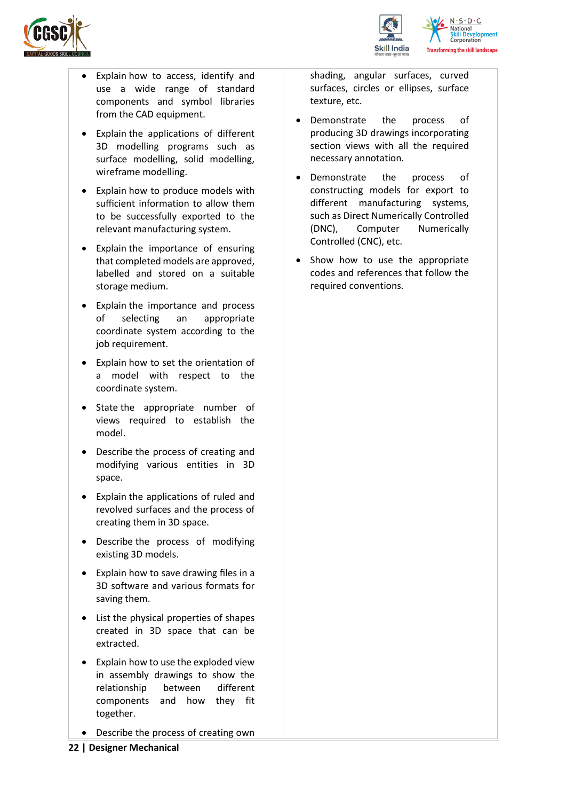



- Explain how to access, identify and use a wide range of standard components and symbol libraries from the CAD equipment.
- Explain the applications of different 3D modelling programs such as surface modelling, solid modelling, wireframe modelling.
- Explain how to produce models with sufficient information to allow them to be successfully exported to the relevant manufacturing system.
- Explain the importance of ensuring that completed models are approved, labelled and stored on a suitable storage medium.
- Explain the importance and process of selecting an appropriate coordinate system according to the job requirement.
- Explain how to set the orientation of a model with respect to the coordinate system.
- State the appropriate number of views required to establish the model.
- Describe the process of creating and modifying various entities in 3D space.
- Explain the applications of ruled and revolved surfaces and the process of creating them in 3D space.
- Describe the process of modifying existing 3D models.
- Explain how to save drawing files in a 3D software and various formats for saving them.
- List the physical properties of shapes created in 3D space that can be extracted.
- Explain how to use the exploded view in assembly drawings to show the relationship between different components and how they fit together.
- Describe the process of creating own
- Demonstrate the process of producing 3D drawings incorporating section views with all the required necessary annotation.
- Demonstrate the process of constructing models for export to different manufacturing systems, such as Direct Numerically Controlled (DNC), Computer Numerically Controlled (CNC), etc.
- Show how to use the appropriate codes and references that follow the required conventions.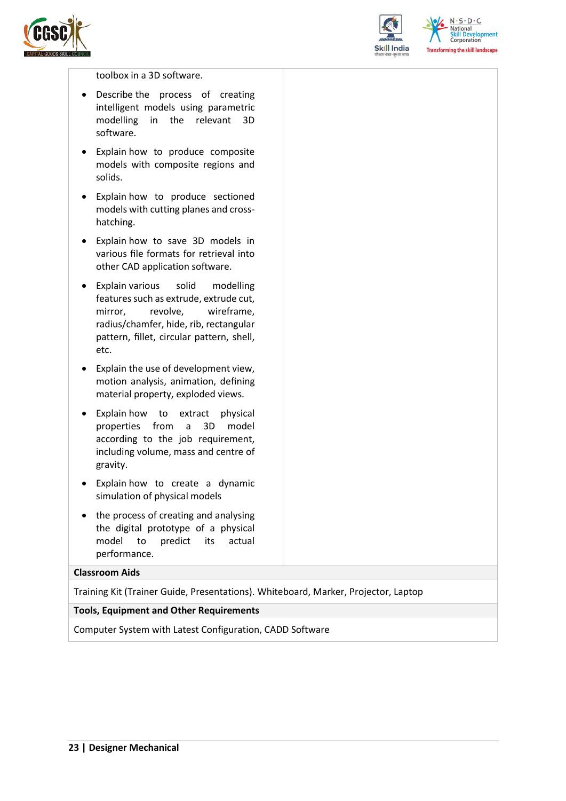



 $N.5.0.6$ **Skill Development**<br>Corporation **Transforming the skill landscape** 

#### toolbox in a 3D software.

- Describe the process of creating intelligent models using parametric modelling in the relevant 3D software.
- Explain how to produce composite models with composite regions and solids.
- Explain how to produce sectioned models with cutting planes and crosshatching.
- Explain how to save 3D models in various file formats for retrieval into other CAD application software.
- Explain various solid modelling features such as extrude, extrude cut, mirror, revolve, wireframe, radius/chamfer, hide, rib, rectangular pattern, fillet, circular pattern, shell, etc.
- Explain the use of development view, motion analysis, animation, defining material property, exploded views.
- Explain how to extract physical properties from a 3D model according to the job requirement, including volume, mass and centre of gravity.
- Explain how to create a dynamic simulation of physical models
- the process of creating and analysing the digital prototype of a physical model to predict its actual performance.

#### **Classroom Aids**

Training Kit (Trainer Guide, Presentations). Whiteboard, Marker, Projector, Laptop

#### **Tools, Equipment and Other Requirements**

Computer System with Latest Configuration, CADD Software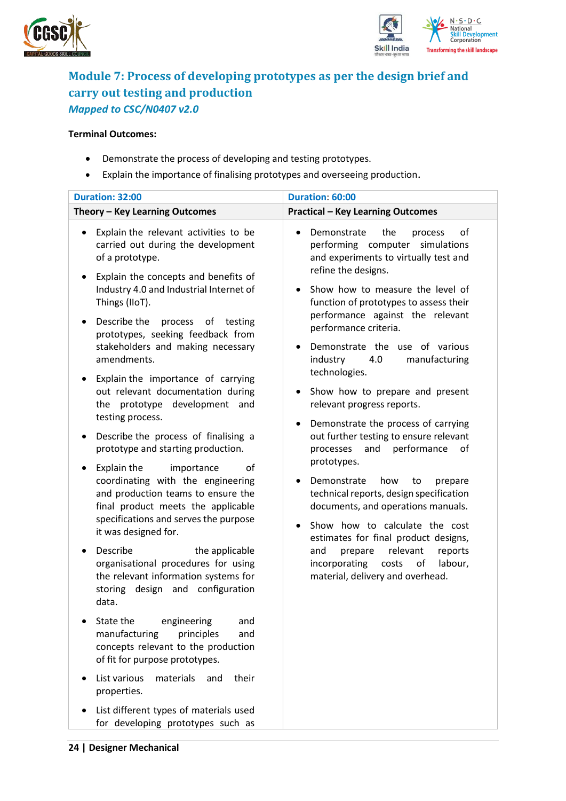



### <span id="page-23-0"></span>**Module 7: Process of developing prototypes as per the design brief and carry out testing and production** *Mapped to CSC/N0407 v2.0*

- Demonstrate the process of developing and testing prototypes.
- Explain the importance of finalising prototypes and overseeing production.

| <b>Duration: 32:00</b>                                                                                                                                                                                                                                                                                                                                                                                                                                                                                                                                                                                                                                                                                                                                                                                                                                                                                                                                                                                                                                                                                                                                                                                                                            | Duration: 60:00                                                                                                                                                                                                                                                                                                                                                                                                                                                                                                                                                                                                                                                                                                                                                                                                                                                                                                                           |
|---------------------------------------------------------------------------------------------------------------------------------------------------------------------------------------------------------------------------------------------------------------------------------------------------------------------------------------------------------------------------------------------------------------------------------------------------------------------------------------------------------------------------------------------------------------------------------------------------------------------------------------------------------------------------------------------------------------------------------------------------------------------------------------------------------------------------------------------------------------------------------------------------------------------------------------------------------------------------------------------------------------------------------------------------------------------------------------------------------------------------------------------------------------------------------------------------------------------------------------------------|-------------------------------------------------------------------------------------------------------------------------------------------------------------------------------------------------------------------------------------------------------------------------------------------------------------------------------------------------------------------------------------------------------------------------------------------------------------------------------------------------------------------------------------------------------------------------------------------------------------------------------------------------------------------------------------------------------------------------------------------------------------------------------------------------------------------------------------------------------------------------------------------------------------------------------------------|
| Theory - Key Learning Outcomes                                                                                                                                                                                                                                                                                                                                                                                                                                                                                                                                                                                                                                                                                                                                                                                                                                                                                                                                                                                                                                                                                                                                                                                                                    | <b>Practical - Key Learning Outcomes</b>                                                                                                                                                                                                                                                                                                                                                                                                                                                                                                                                                                                                                                                                                                                                                                                                                                                                                                  |
| Explain the relevant activities to be<br>carried out during the development<br>of a prototype.<br>Explain the concepts and benefits of<br>Industry 4.0 and Industrial Internet of<br>Things (IIoT).<br>Describe the<br>process of testing<br>$\bullet$<br>prototypes, seeking feedback from<br>stakeholders and making necessary<br>amendments.<br>Explain the importance of carrying<br>٠<br>out relevant documentation during<br>prototype development and<br>the<br>testing process.<br>Describe the process of finalising a<br>prototype and starting production.<br>Explain the<br>importance<br>οf<br>coordinating with the engineering<br>and production teams to ensure the<br>final product meets the applicable<br>specifications and serves the purpose<br>it was designed for.<br>Describe<br>the applicable<br>organisational procedures for using<br>the relevant information systems for<br>storing design and configuration<br>data.<br>State the<br>engineering<br>and<br>manufacturing<br>principles<br>and<br>concepts relevant to the production<br>of fit for purpose prototypes.<br>List various<br>materials<br>their<br>and<br>properties.<br>List different types of materials used<br>for developing prototypes such as | the<br>οf<br>Demonstrate<br>process<br>performing computer<br>simulations<br>and experiments to virtually test and<br>refine the designs.<br>Show how to measure the level of<br>function of prototypes to assess their<br>performance against the relevant<br>performance criteria.<br>Demonstrate the use of various<br>industry<br>manufacturing<br>4.0<br>technologies.<br>Show how to prepare and present<br>relevant progress reports.<br>Demonstrate the process of carrying<br>$\bullet$<br>out further testing to ensure relevant<br>performance<br>of<br>and<br>processes<br>prototypes.<br>Demonstrate<br>how<br>to<br>prepare<br>technical reports, design specification<br>documents, and operations manuals.<br>Show how to calculate the cost<br>$\bullet$<br>estimates for final product designs,<br>relevant<br>reports<br>and<br>prepare<br>incorporating<br>labour,<br>costs<br>οf<br>material, delivery and overhead. |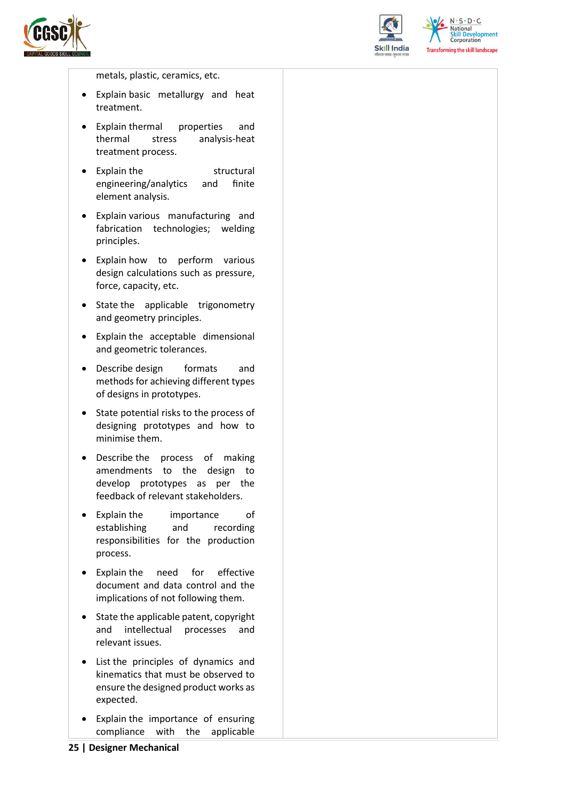



 $N \cdot S \cdot D \cdot C$ National **Skill Development**<br>Corporation **Transforming the skill landscape** 

metals, plastic, ceramics, etc.

- Explain basic metallurgy and heat treatment.
- Explain thermal properties and thermal stress analysis-heat treatment process.
- Explain the structural engineering/analytics and finite element analysis.
- Explain various manufacturing and fabrication technologies; welding principles.
- Explain how to perform various design calculations such as pressure, force, capacity, etc.
- State the applicable trigonometry and geometry principles.
- Explain the acceptable dimensional and geometric tolerances.
- Describe design formats and methods for achieving different types of designs in prototypes.
- State potential risks to the process of designing prototypes and how to minimise them.
- Describe the process of making amendments to the design to develop prototypes as per the feedback of relevant stakeholders.
- Explain the importance of establishing and recording responsibilities for the production process.
- Explain the need for effective document and data control and the implications of not following them.
- State the applicable patent, copyright and intellectual processes and relevant issues.
- List the principles of dynamics and kinematics that must be observed to ensure the designed product works as expected.
- Explain the importance of ensuring compliance with the applicable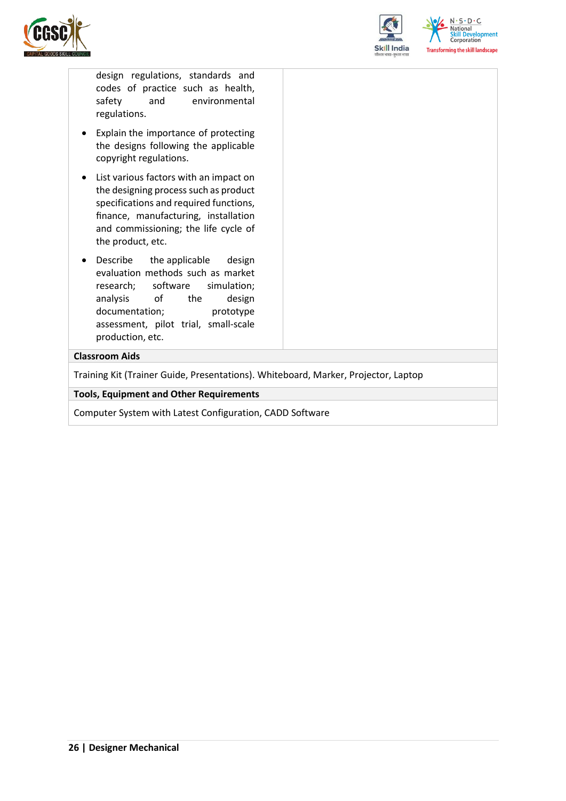



design regulations, standards and codes of practice such as health, safety and environmental regulations.

- Explain the importance of protecting the designs following the applicable copyright regulations.
- List various factors with an impact on the designing process such as product specifications and required functions, finance, manufacturing, installation and commissioning; the life cycle of the product, etc.
- Describe the applicable design evaluation methods such as market research; software simulation; analysis of the design documentation; prototype assessment, pilot trial, small-scale production, etc.

#### **Classroom Aids**

Training Kit (Trainer Guide, Presentations). Whiteboard, Marker, Projector, Laptop

#### **Tools, Equipment and Other Requirements**

Computer System with Latest Configuration, CADD Software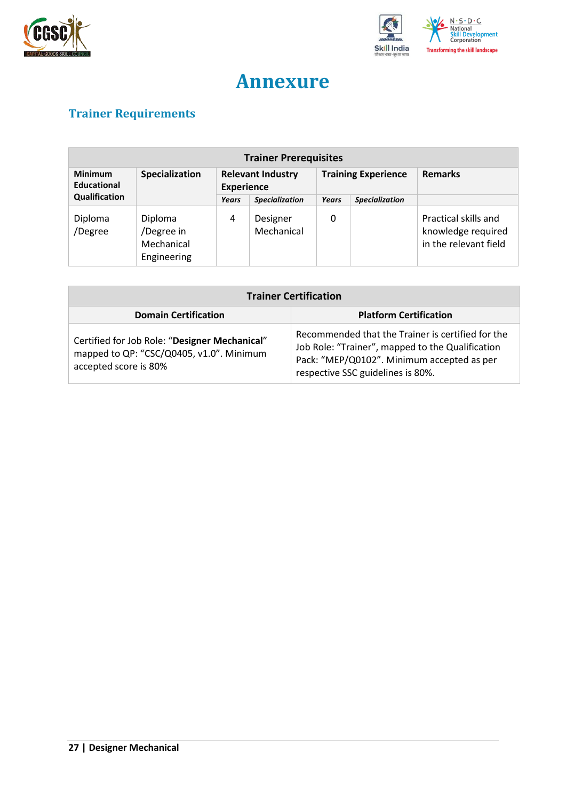



## **Annexure**

## <span id="page-26-1"></span><span id="page-26-0"></span>**Trainer Requirements**

| <b>Trainer Prerequisites</b>         |                                                    |                   |                          |                            |                       |                                                                     |
|--------------------------------------|----------------------------------------------------|-------------------|--------------------------|----------------------------|-----------------------|---------------------------------------------------------------------|
| <b>Minimum</b><br><b>Educational</b> | Specialization                                     | <b>Experience</b> | <b>Relevant Industry</b> | <b>Training Experience</b> |                       | <b>Remarks</b>                                                      |
| Qualification                        |                                                    | Years             | <b>Specialization</b>    | Years                      | <b>Specialization</b> |                                                                     |
| Diploma<br>/Degree                   | Diploma<br>/Degree in<br>Mechanical<br>Engineering | 4                 | Designer<br>Mechanical   | 0                          |                       | Practical skills and<br>knowledge required<br>in the relevant field |

| <b>Trainer Certification</b>                                                                                       |                                                                                                                                                                                          |  |  |
|--------------------------------------------------------------------------------------------------------------------|------------------------------------------------------------------------------------------------------------------------------------------------------------------------------------------|--|--|
| <b>Domain Certification</b>                                                                                        | <b>Platform Certification</b>                                                                                                                                                            |  |  |
| Certified for Job Role: "Designer Mechanical"<br>mapped to QP: "CSC/Q0405, v1.0". Minimum<br>accepted score is 80% | Recommended that the Trainer is certified for the<br>Job Role: "Trainer", mapped to the Qualification<br>Pack: "MEP/Q0102". Minimum accepted as per<br>respective SSC guidelines is 80%. |  |  |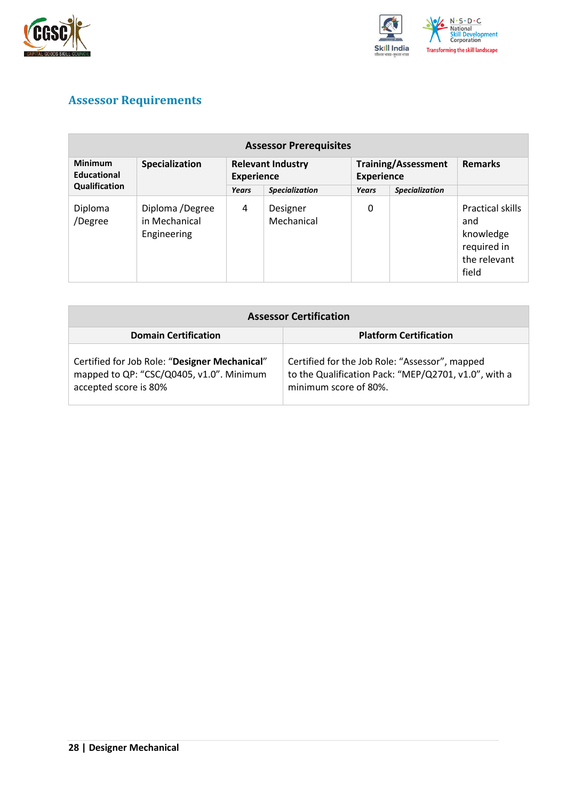



## <span id="page-27-0"></span>**Assessor Requirements**

| <b>Assessor Prerequisites</b> |                                                 |                                               |                        |                                                 |                       |                                                                                     |
|-------------------------------|-------------------------------------------------|-----------------------------------------------|------------------------|-------------------------------------------------|-----------------------|-------------------------------------------------------------------------------------|
| <b>Minimum</b><br>Educational | Specialization                                  | <b>Relevant Industry</b><br><b>Experience</b> |                        | <b>Training/Assessment</b><br><b>Experience</b> |                       | <b>Remarks</b>                                                                      |
| Qualification                 |                                                 | Years                                         | <b>Specialization</b>  | Years                                           | <b>Specialization</b> |                                                                                     |
| Diploma<br>/Degree            | Diploma /Degree<br>in Mechanical<br>Engineering | 4                                             | Designer<br>Mechanical | 0                                               |                       | <b>Practical skills</b><br>and<br>knowledge<br>required in<br>the relevant<br>field |

| <b>Assessor Certification</b>                                                                                      |                                                                                                                                 |  |  |
|--------------------------------------------------------------------------------------------------------------------|---------------------------------------------------------------------------------------------------------------------------------|--|--|
| <b>Domain Certification</b>                                                                                        | <b>Platform Certification</b>                                                                                                   |  |  |
| Certified for Job Role: "Designer Mechanical"<br>mapped to QP: "CSC/Q0405, v1.0". Minimum<br>accepted score is 80% | Certified for the Job Role: "Assessor", mapped<br>to the Qualification Pack: "MEP/Q2701, v1.0", with a<br>minimum score of 80%. |  |  |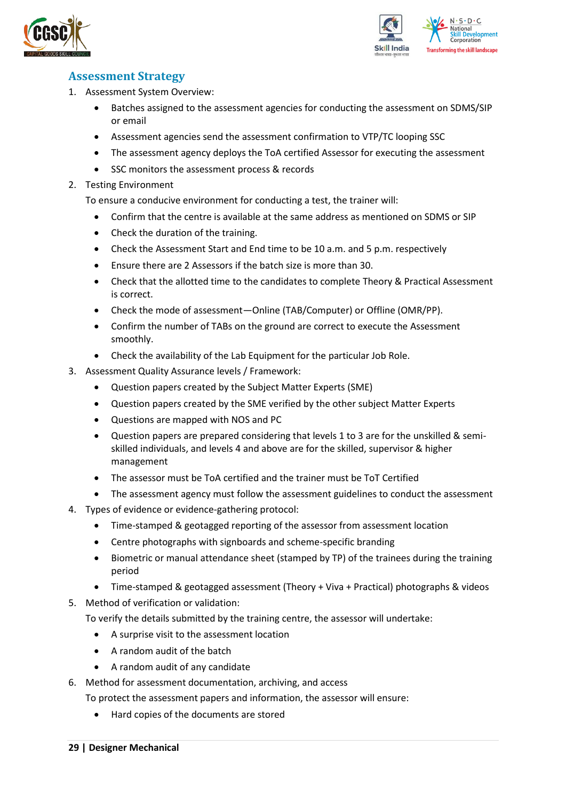



### <span id="page-28-0"></span>**Assessment Strategy**

- 1. Assessment System Overview:
	- Batches assigned to the assessment agencies for conducting the assessment on SDMS/SIP or email
	- Assessment agencies send the assessment confirmation to VTP/TC looping SSC
	- The assessment agency deploys the ToA certified Assessor for executing the assessment
	- SSC monitors the assessment process & records
- 2. Testing Environment

To ensure a conducive environment for conducting a test, the trainer will:

- Confirm that the centre is available at the same address as mentioned on SDMS or SIP
- Check the duration of the training.
- Check the Assessment Start and End time to be 10 a.m. and 5 p.m. respectively
- Ensure there are 2 Assessors if the batch size is more than 30.
- Check that the allotted time to the candidates to complete Theory & Practical Assessment is correct.
- Check the mode of assessment—Online (TAB/Computer) or Offline (OMR/PP).
- Confirm the number of TABs on the ground are correct to execute the Assessment smoothly.
- Check the availability of the Lab Equipment for the particular Job Role.
- 3. Assessment Quality Assurance levels / Framework:
	- Question papers created by the Subject Matter Experts (SME)
	- Question papers created by the SME verified by the other subject Matter Experts
	- Questions are mapped with NOS and PC
	- Question papers are prepared considering that levels 1 to 3 are for the unskilled & semiskilled individuals, and levels 4 and above are for the skilled, supervisor & higher management
	- The assessor must be ToA certified and the trainer must be ToT Certified
	- The assessment agency must follow the assessment guidelines to conduct the assessment
- 4. Types of evidence or evidence-gathering protocol:
	- Time-stamped & geotagged reporting of the assessor from assessment location
	- Centre photographs with signboards and scheme-specific branding
	- Biometric or manual attendance sheet (stamped by TP) of the trainees during the training period
	- Time-stamped & geotagged assessment (Theory + Viva + Practical) photographs & videos
- 5. Method of verification or validation:

To verify the details submitted by the training centre, the assessor will undertake:

- A surprise visit to the assessment location
- A random audit of the batch
- A random audit of any candidate
- 6. Method for assessment documentation, archiving, and access
	- To protect the assessment papers and information, the assessor will ensure:
		- Hard copies of the documents are stored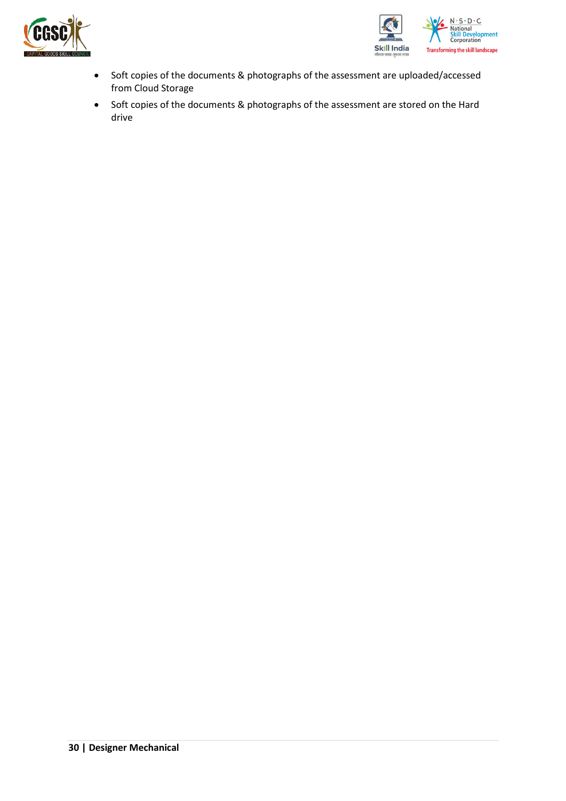



- Soft copies of the documents & photographs of the assessment are uploaded/accessed from Cloud Storage
- Soft copies of the documents & photographs of the assessment are stored on the Hard drive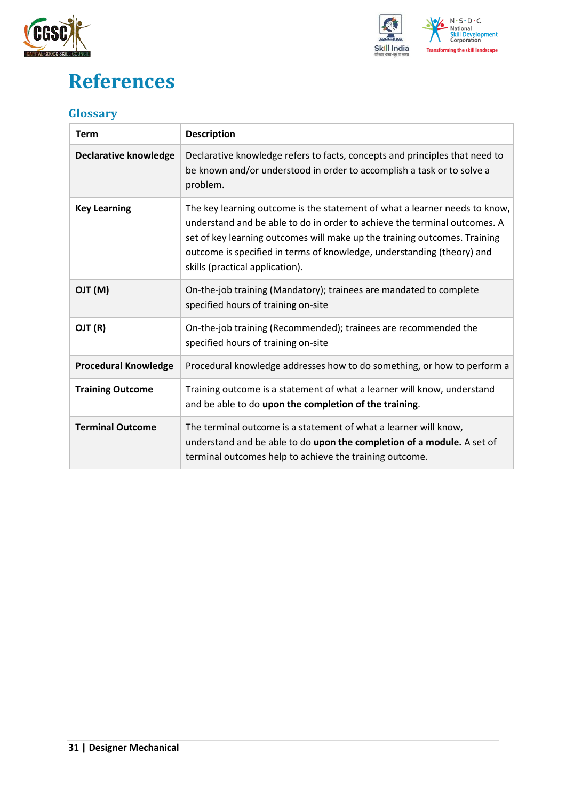



## <span id="page-30-0"></span>**References**

## <span id="page-30-1"></span>**Glossary**

| <b>Term</b>                  | <b>Description</b>                                                                                                                                                                                                                                                                                                                                |
|------------------------------|---------------------------------------------------------------------------------------------------------------------------------------------------------------------------------------------------------------------------------------------------------------------------------------------------------------------------------------------------|
| <b>Declarative knowledge</b> | Declarative knowledge refers to facts, concepts and principles that need to<br>be known and/or understood in order to accomplish a task or to solve a<br>problem.                                                                                                                                                                                 |
| <b>Key Learning</b>          | The key learning outcome is the statement of what a learner needs to know,<br>understand and be able to do in order to achieve the terminal outcomes. A<br>set of key learning outcomes will make up the training outcomes. Training<br>outcome is specified in terms of knowledge, understanding (theory) and<br>skills (practical application). |
| (M) TLO                      | On-the-job training (Mandatory); trainees are mandated to complete<br>specified hours of training on-site                                                                                                                                                                                                                                         |
| OJT (R)                      | On-the-job training (Recommended); trainees are recommended the<br>specified hours of training on-site                                                                                                                                                                                                                                            |
| <b>Procedural Knowledge</b>  | Procedural knowledge addresses how to do something, or how to perform a                                                                                                                                                                                                                                                                           |
| <b>Training Outcome</b>      | Training outcome is a statement of what a learner will know, understand<br>and be able to do upon the completion of the training.                                                                                                                                                                                                                 |
| <b>Terminal Outcome</b>      | The terminal outcome is a statement of what a learner will know,<br>understand and be able to do upon the completion of a module. A set of<br>terminal outcomes help to achieve the training outcome.                                                                                                                                             |